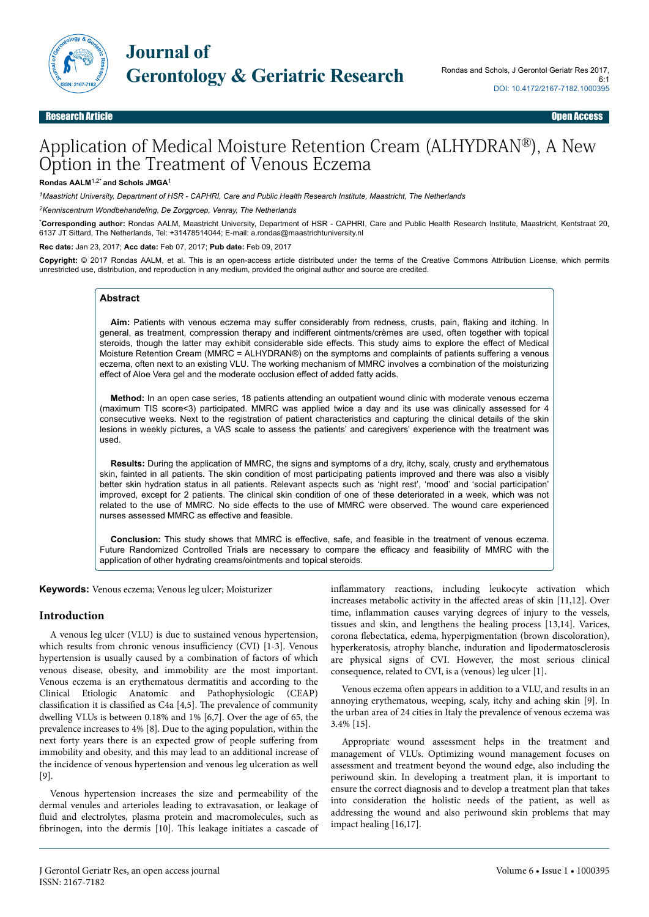

# Application of Medical Moisture Retention Cream (ALHYDRAN®), A New Option in the Treatment of Venous Eczema

#### **Rondas AALM**1,2\* **and Schols JMGA**<sup>1</sup>

*<sup>1</sup>Maastricht University, Department of HSR - CAPHRI, Care and Public Health Research Institute, Maastricht, The Netherlands*

*<sup>2</sup>Kenniscentrum Wondbehandeling, De Zorggroep, Venray, The Netherlands*

\***Corresponding author:** Rondas AALM, Maastricht University, Department of HSR - CAPHRI, Care and Public Health Research Institute, Maastricht, Kentstraat 20, 6137 JT Sittard, The Netherlands, Tel: +31478514044; E-mail: a.rondas@maastrichtuniversity.nl

**Rec date:** Jan 23, 2017; **Acc date:** Feb 07, 2017; **Pub date:** Feb 09, 2017

**Copyright:** © 2017 Rondas AALM, et al. This is an open-access article distributed under the terms of the Creative Commons Attribution License, which permits unrestricted use, distribution, and reproduction in any medium, provided the original author and source are credited.

### **Abstract**

**Aim:** Patients with venous eczema may suffer considerably from redness, crusts, pain, flaking and itching. In general, as treatment, compression therapy and indifferent ointments/crèmes are used, often together with topical steroids, though the latter may exhibit considerable side effects. This study aims to explore the effect of Medical Moisture Retention Cream (MMRC = ALHYDRAN®) on the symptoms and complaints of patients suffering a venous eczema, often next to an existing VLU. The working mechanism of MMRC involves a combination of the moisturizing effect of Aloe Vera gel and the moderate occlusion effect of added fatty acids.

**Method:** In an open case series, 18 patients attending an outpatient wound clinic with moderate venous eczema (maximum TIS score<3) participated. MMRC was applied twice a day and its use was clinically assessed for 4 consecutive weeks. Next to the registration of patient characteristics and capturing the clinical details of the skin lesions in weekly pictures, a VAS scale to assess the patients' and caregivers' experience with the treatment was used.

**Results:** During the application of MMRC, the signs and symptoms of a dry, itchy, scaly, crusty and erythematous skin, fainted in all patients. The skin condition of most participating patients improved and there was also a visibly better skin hydration status in all patients. Relevant aspects such as 'night rest', 'mood' and 'social participation' improved, except for 2 patients. The clinical skin condition of one of these deteriorated in a week, which was not related to the use of MMRC. No side effects to the use of MMRC were observed. The wound care experienced nurses assessed MMRC as effective and feasible.

**Conclusion:** This study shows that MMRC is effective, safe, and feasible in the treatment of venous eczema. Future Randomized Controlled Trials are necessary to compare the efficacy and feasibility of MMRC with the application of other hydrating creams/ointments and topical steroids.

**Keywords:** Venous eczema; Venous leg ulcer; Moisturizer

### **Introduction**

A venous leg ulcer (VLU) is due to sustained venous hypertension, which results from chronic venous insufficiency (CVI)  $[1-3]$ . Venous hypertension is usually caused by a combination of factors of which venous disease, obesity, and immobility are the most important. Venous eczema is an erythematous dermatitis and according to the Clinical Etiologic Anatomic and Pathophysiologic (CEAP) classification it is classified as C4a [4,5]. Нe prevalence of community dwelling VLUs is between 0.18% and 1% [6,7]. Over the age of 65, the prevalence increases to 4% [8]. Due to the aging population, within the next forty years there is an expected grow of people suffering from immobility and obesity, and this may lead to an additional increase of the incidence of venous hypertension and venous leg ulceration as well [9].

Venous hypertension increases the size and permeability of the dermal venules and arterioles leading to extravasation, or leakage of fluid and electrolytes, plasma protein and macromolecules, such as fibrinogen, into the dermis [10]. Нis leakage initiates a cascade of

inflammatory reactions, including leukocyte activation which increases metabolic activity in the affected areas of skin [11,12]. Over time, inflammation causes varying degrees of injury to the vessels, tissues and skin, and lengthens the healing process [13,14]. Varices, corona flebectatica, edema, hyperpigmentation (brown discoloration), hyperkeratosis, atrophy blanche, induration and lipodermatosclerosis are physical signs of CVI. However, the most serious clinical consequence, related to CVI, is a (venous) leg ulcer [1].

Venous eczema often appears in addition to a VLU, and results in an annoying erythematous, weeping, scaly, itchy and aching skin [9]. In the urban area of 24 cities in Italy the prevalence of venous eczema was 3.4% [15].

Appropriate wound assessment helps in the treatment and management of VLUs. Optimizing wound management focuses on assessment and treatment beyond the wound edge, also including the periwound skin. In developing a treatment plan, it is important to ensure the correct diagnosis and to develop a treatment plan that takes into consideration the holistic needs of the patient, as well as addressing the wound and also periwound skin problems that may impact healing [16,17].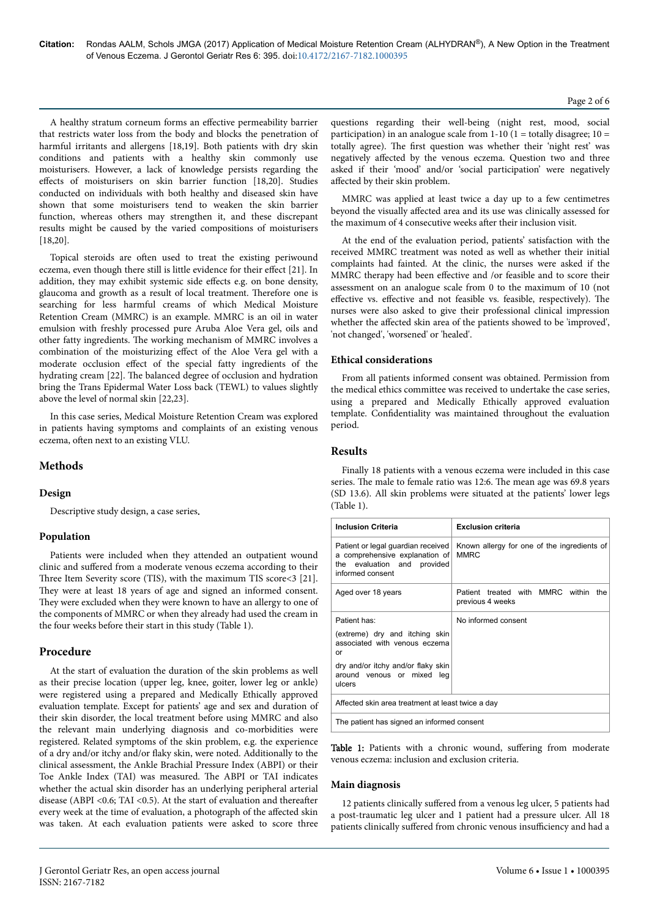A healthy stratum corneum forms an effective permeability barrier that restricts water loss from the body and blocks the penetration of harmful irritants and allergens [18,19]. Both patients with dry skin conditions and patients with a healthy skin commonly use moisturisers. However, a lack of knowledge persists regarding the effects of moisturisers on skin barrier function [18,20]. Studies conducted on individuals with both healthy and diseased skin have shown that some moisturisers tend to weaken the skin barrier function, whereas others may strengthen it, and these discrepant results might be caused by the varied compositions of moisturisers [18,20].

Topical steroids are often used to treat the existing periwound eczema, even though there still is little evidence for their effect [21]. In addition, they may exhibit systemic side effects e.g. on bone density, glaucoma and growth as a result of local treatment. Нerefore one is searching for less harmful creams of which Medical Moisture Retention Cream (MMRC) is an example. MMRC is an oil in water emulsion with freshly processed pure Aruba Aloe Vera gel, oils and other fatty ingredients. Нe working mechanism of MMRC involves a combination of the moisturizing effect of the Aloe Vera gel with a moderate occlusion effect of the special fatty ingredients of the hydrating cream [22]. Нe balanced degree of occlusion and hydration bring the Trans Epidermal Water Loss back (TEWL) to values slightly above the level of normal skin [22,23].

In this case series, Medical Moisture Retention Cream was explored in patients having symptoms and complaints of an existing venous eczema, often next to an existing VLU.

# **Methods**

# **Design**

Descriptive study design, a case series.

## **Population**

Patients were included when they attended an outpatient wound clinic and suffered from a moderate venous eczema according to their Three Item Severity score (TIS), with the maximum TIS score<3 [21]. They were at least 18 years of age and signed an informed consent. They were excluded when they were known to have an allergy to one of the components of MMRC or when they already had used the cream in the four weeks before their start in this study (Table 1).

## **Procedure**

At the start of evaluation the duration of the skin problems as well as their precise location (upper leg, knee, goiter, lower leg or ankle) were registered using a prepared and Medically Ethically approved evaluation template. Except for patients' age and sex and duration of their skin disorder, the local treatment before using MMRC and also the relevant main underlying diagnosis and co-morbidities were registered. Related symptoms of the skin problem, e.g. the experience of a dry and/or itchy and/or flaky skin, were noted. Additionally to the clinical assessment, the Ankle Brachial Pressure Index (ABPI) or their Toe Ankle Index (TAI) was measured. Нe ABPI or TAI indicates whether the actual skin disorder has an underlying peripheral arterial disease (ABPI <  $0.6$ ; TAI <  $0.5$ ). At the start of evaluation and thereafter every week at the time of evaluation, a photograph of the affected skin was taken. At each evaluation patients were asked to score three

Page 2 of 6

questions regarding their well-being (night rest, mood, social participation) in an analogue scale from  $1-10$  ( $1 =$  totally disagree;  $10 =$ totally agree). Нe first question was whether their 'night rest' was negatively affected by the venous eczema. Question two and three asked if their 'mood' and/or 'social participation' were negatively affected by their skin problem.

MMRC was applied at least twice a day up to a few centimetres beyond the visually affected area and its use was clinically assessed for the maximum of 4 consecutive weeks after their inclusion visit.

At the end of the evaluation period, patients' satisfaction with the received MMRC treatment was noted as well as whether their initial complaints had fainted. At the clinic, the nurses were asked if the MMRC therapy had been effective and /or feasible and to score their assessment on an analogue scale from 0 to the maximum of 10 (not effective vs. effective and not feasible vs. feasible, respectively). The nurses were also asked to give their professional clinical impression whether the affected skin area of the patients showed to be 'improved', 'not changed', 'worsened' or 'healed'.

# **Ethical considerations**

From all patients informed consent was obtained. Permission from the medical ethics committee was received to undertake the case series, using a prepared and Medically Ethically approved evaluation template. Confidentiality was maintained throughout the evaluation period.

# **Results**

Finally 18 patients with a venous eczema were included in this case series. The male to female ratio was 12:6. The mean age was 69.8 years (SD 13.6). All skin problems were situated at the patients' lower legs (Table 1).

| <b>Inclusion Criteria</b>                                                                                               | <b>Exclusion criteria</b>                                   |  |  |  |  |  |  |  |  |
|-------------------------------------------------------------------------------------------------------------------------|-------------------------------------------------------------|--|--|--|--|--|--|--|--|
| Patient or legal guardian received<br>a comprehensive explanation of<br>the evaluation and provided<br>informed consent | Known allergy for one of the ingredients of<br><b>MMRC</b>  |  |  |  |  |  |  |  |  |
| Aged over 18 years                                                                                                      | Patient treated with MMRC within<br>the<br>previous 4 weeks |  |  |  |  |  |  |  |  |
| Patient has:                                                                                                            | No informed consent                                         |  |  |  |  |  |  |  |  |
| (extreme) dry and itching skin<br>associated with venous eczema<br>or                                                   |                                                             |  |  |  |  |  |  |  |  |
| dry and/or itchy and/or flaky skin<br>around venous or mixed leg<br>ulcers                                              |                                                             |  |  |  |  |  |  |  |  |
| Affected skin area treatment at least twice a day                                                                       |                                                             |  |  |  |  |  |  |  |  |
| The patient has signed an informed consent                                                                              |                                                             |  |  |  |  |  |  |  |  |

Table 1: Patients with a chronic wound, suffering from moderate venous eczema: inclusion and exclusion criteria.

## **Main diagnosis**

12 patients clinically suffered from a venous leg ulcer, 5 patients had a post-traumatic leg ulcer and 1 patient had a pressure ulcer. All 18 patients clinically suffered from chronic venous insufficiency and had a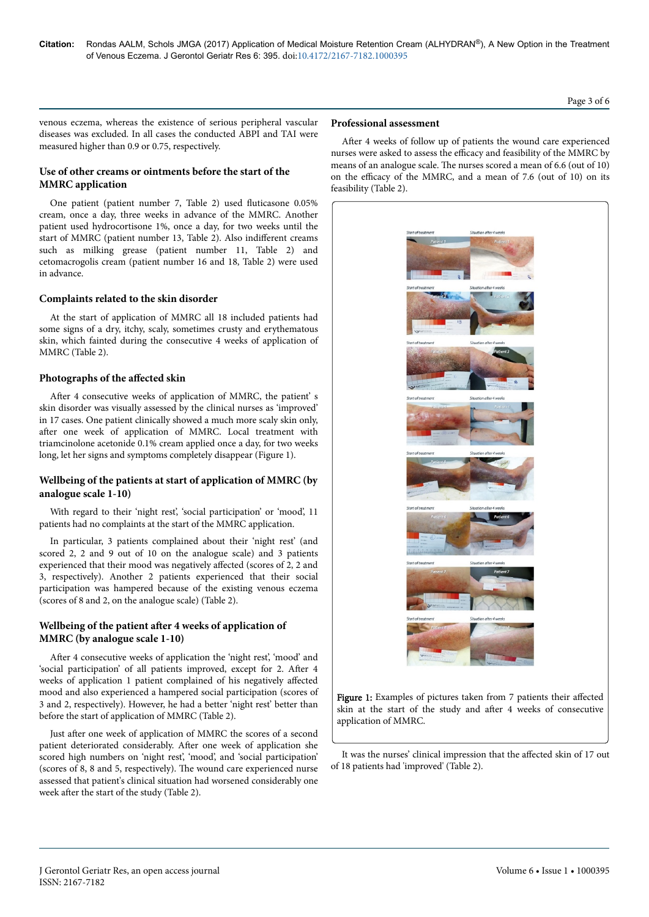# Page 3 of 6

venous eczema, whereas the existence of serious peripheral vascular diseases was excluded. In all cases the conducted ABPI and TAI were measured higher than 0.9 or 0.75, respectively.

# **Use of other creams or ointments before the start of the MMRC application**

One patient (patient number 7, Table 2) used fluticasone 0.05% cream, once a day, three weeks in advance of the MMRC. Another patient used hydrocortisone 1%, once a day, for two weeks until the start of MMRC (patient number 13, Table 2). Also indifferent creams such as milking grease (patient number 11, Table 2) and cetomacrogolis cream (patient number 16 and 18, Table 2) were used in advance.

## **Complaints related to the skin disorder**

At the start of application of MMRC all 18 included patients had some signs of a dry, itchy, scaly, sometimes crusty and erythematous skin, which fainted during the consecutive 4 weeks of application of MMRC (Table 2).

## **Photographs of the affected skin**

After 4 consecutive weeks of application of MMRC, the patient' s skin disorder was visually assessed by the clinical nurses as 'improved' in 17 cases. One patient clinically showed a much more scaly skin only, after one week of application of MMRC. Local treatment with triamcinolone acetonide 0.1% cream applied once a day, for two weeks long, let her signs and symptoms completely disappear (Figure 1).

# **Wellbeing of the patients at start of application of MMRC (by analogue scale 1-10)**

With regard to their 'night rest', 'social participation' or 'mood', 11 patients had no complaints at the start of the MMRC application.

In particular, 3 patients complained about their 'night rest' (and scored 2, 2 and 9 out of 10 on the analogue scale) and 3 patients experienced that their mood was negatively affected (scores of 2, 2 and 3, respectively). Another 2 patients experienced that their social participation was hampered because of the existing venous eczema (scores of 8 and 2, on the analogue scale) (Table 2).

# **Wellbeing of the patient after 4 weeks of application of MMRC (by analogue scale 1-10)**

After 4 consecutive weeks of application the 'night rest', 'mood' and 'social participation' of all patients improved, except for 2. After 4 weeks of application 1 patient complained of his negatively affected mood and also experienced a hampered social participation (scores of 3 and 2, respectively). However, he had a better 'night rest' better than before the start of application of MMRC (Table 2).

Just after one week of application of MMRC the scores of a second patient deteriorated considerably. After one week of application she scored high numbers on 'night rest', 'mood', and 'social participation' (scores of 8, 8 and 5, respectively). Нe wound care experienced nurse assessed that patient's clinical situation had worsened considerably one week after the start of the study (Table 2).

## **Professional assessment**

After 4 weeks of follow up of patients the wound care experienced nurses were asked to assess the efficacy and feasibility of the MMRC by means of an analogue scale. Нe nurses scored a mean of 6.6 (out of 10) on the efficacy of the MMRC, and a mean of 7.6 (out of 10) on its feasibility (Table 2).



Figure 1: Examples of pictures taken from 7 patients their affected skin at the start of the study and after 4 weeks of consecutive application of MMRC.

It was the nurses' clinical impression that the affected skin of 17 out of 18 patients had 'improved' (Table 2).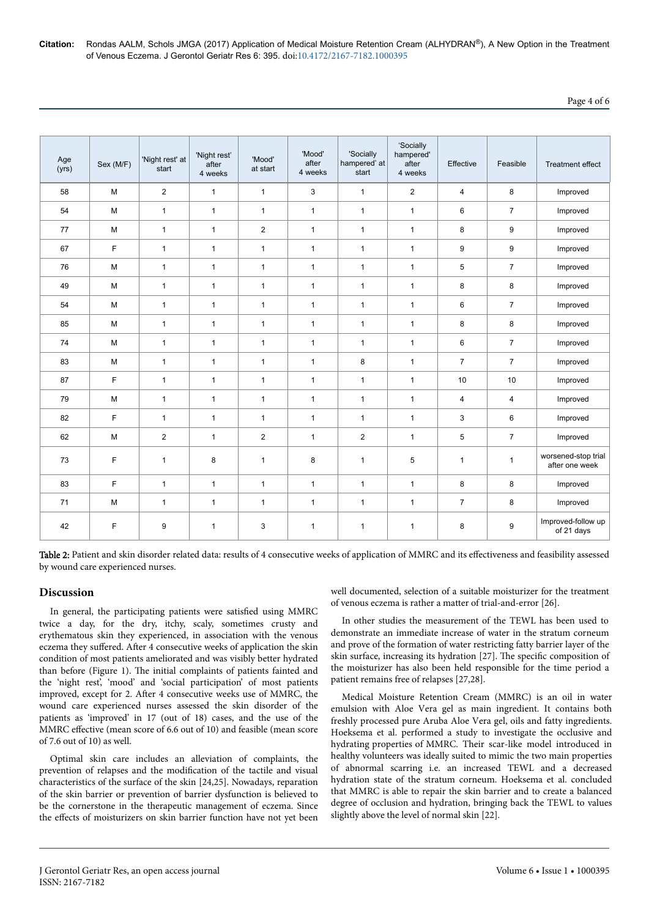**Citation:** Rondas AALM, Schols JMGA (2017) Application of Medical Moisture Retention Cream (ALHYDRAN®), A New Option in the Treatment of Venous Eczema. J Gerontol Geriatr Res 6: 395. doi:10.4172/2167-7182.1000395

# Page 4 of 6

| Age<br>(yrs) | Sex (M/F) | 'Night rest' at<br>start | 'Night rest'<br>after<br>4 weeks | 'Mood'<br>at start | 'Mood'<br>after<br>4 weeks | 'Socially<br>hampered' at<br>start | 'Socially<br>hampered'<br>after<br>4 weeks | Effective      | Feasible       | <b>Treatment effect</b>               |
|--------------|-----------|--------------------------|----------------------------------|--------------------|----------------------------|------------------------------------|--------------------------------------------|----------------|----------------|---------------------------------------|
| 58           | M         | $\overline{2}$           | $\mathbf{1}$                     | $\mathbf{1}$       | 3                          | $\mathbf{1}$                       | $\overline{2}$                             | 4              | 8              | Improved                              |
| 54           | M         | $\mathbf{1}$             | $\mathbf{1}$                     | $\mathbf{1}$       | $\mathbf{1}$               | $\mathbf{1}$                       | $\mathbf{1}$                               | 6              | $\overline{7}$ | Improved                              |
| 77           | M         | $\mathbf{1}$             | $\mathbf{1}$                     | $\overline{2}$     | $\mathbf{1}$               | $\mathbf{1}$                       | $\mathbf{1}$                               | 8              | 9              | Improved                              |
| 67           | F         | $\mathbf{1}$             | $\mathbf{1}$                     | $\mathbf{1}$       | $\mathbf{1}$               | $\mathbf{1}$                       | $\mathbf{1}$                               | 9              | 9              | Improved                              |
| 76           | M         | $\mathbf{1}$             | $\mathbf{1}$                     | $\mathbf{1}$       | $\mathbf{1}$               | $\mathbf{1}$                       | $\mathbf{1}$                               | 5              | $\overline{7}$ | Improved                              |
| 49           | M         | $\mathbf{1}$             | $\mathbf{1}$                     | $\mathbf{1}$       | $\mathbf{1}$               | $\mathbf{1}$                       | $\mathbf{1}$                               | 8              | 8              | Improved                              |
| 54           | M         | $\mathbf{1}$             | $\mathbf{1}$                     | $\mathbf{1}$       | $\mathbf{1}$               | $\mathbf{1}$                       | $\mathbf{1}$                               | 6              | $\overline{7}$ | Improved                              |
| 85           | M         | $\mathbf{1}$             | $\mathbf{1}$                     | $\mathbf{1}$       | $\mathbf{1}$               | $\mathbf{1}$                       | 1                                          | 8              | 8              | Improved                              |
| 74           | M         | $\mathbf{1}$             | $\mathbf{1}$                     | $\mathbf{1}$       | $\mathbf{1}$               | $\mathbf{1}$                       | $\mathbf{1}$                               | 6              | $\overline{7}$ | Improved                              |
| 83           | M         | $\mathbf{1}$             | $\mathbf{1}$                     | $\mathbf{1}$       | $\mathbf{1}$               | 8                                  | $\mathbf{1}$                               | $\overline{7}$ | $\overline{7}$ | Improved                              |
| 87           | F         | $\mathbf{1}$             | $\mathbf{1}$                     | $\mathbf{1}$       | $\mathbf{1}$               | 1                                  | 1                                          | 10             | 10             | Improved                              |
| 79           | M         | $\mathbf{1}$             | $\mathbf{1}$                     | $\mathbf{1}$       | $\mathbf{1}$               | $\mathbf{1}$                       | $\mathbf{1}$                               | $\overline{4}$ | $\overline{4}$ | Improved                              |
| 82           | F         | $\mathbf{1}$             | $\mathbf{1}$                     | $\mathbf{1}$       | $\mathbf{1}$               | $\mathbf{1}$                       | $\mathbf{1}$                               | 3              | 6              | Improved                              |
| 62           | M         | $\overline{2}$           | $\mathbf{1}$                     | $\overline{c}$     | $\mathbf{1}$               | $\overline{c}$                     | $\mathbf{1}$                               | 5              | $\overline{7}$ | Improved                              |
| 73           | F         | $\mathbf{1}$             | 8                                | $\mathbf{1}$       | 8                          | $\mathbf{1}$                       | 5                                          | $\mathbf{1}$   | $\mathbf{1}$   | worsened-stop trial<br>after one week |
| 83           | F         | $\mathbf{1}$             | $\mathbf{1}$                     | $\mathbf{1}$       | $\mathbf{1}$               | $\mathbf{1}$                       | $\mathbf{1}$                               | 8              | 8              | Improved                              |
| 71           | M         | $\mathbf{1}$             | $\mathbf{1}$                     | $\mathbf{1}$       | $\mathbf{1}$               | 1                                  | $\mathbf{1}$                               | $\overline{7}$ | 8              | Improved                              |
| 42           | F         | 9                        | 1                                | 3                  | $\mathbf{1}$               | $\mathbf{1}$                       | 1                                          | 8              | 9              | Improved-follow up<br>of 21 days      |

Table 2: Patient and skin disorder related data: results of 4 consecutive weeks of application of MMRC and its effectiveness and feasibility assessed by wound care experienced nurses.

## **Discussion**

In general, the participating patients were satisfied using MMRC twice a day, for the dry, itchy, scaly, sometimes crusty and erythematous skin they experienced, in association with the venous eczema they suffered. After 4 consecutive weeks of application the skin condition of most patients ameliorated and was visibly better hydrated than before (Figure 1). Нe initial complaints of patients fainted and the 'night rest', 'mood' and 'social participation' of most patients improved, except for 2. After 4 consecutive weeks use of MMRC, the wound care experienced nurses assessed the skin disorder of the patients as 'improved' in 17 (out of 18) cases, and the use of the MMRC effective (mean score of 6.6 out of 10) and feasible (mean score of 7.6 out of 10) as well.

Optimal skin care includes an alleviation of complaints, the prevention of relapses and the modification of the tactile and visual characteristics of the surface of the skin [24,25]. Nowadays, reparation of the skin barrier or prevention of barrier dysfunction is believed to be the cornerstone in the therapeutic management of eczema. Since the effects of moisturizers on skin barrier function have not yet been

well documented, selection of a suitable moisturizer for the treatment of venous eczema is rather a matter of trial-and-error [26].

In other studies the measurement of the TEWL has been used to demonstrate an immediate increase of water in the stratum corneum and prove of the formation of water restricting fatty barrier layer of the skin surface, increasing its hydration [27]. Нe specific composition of the moisturizer has also been held responsible for the time period a patient remains free of relapses [27,28].

Medical Moisture Retention Cream (MMRC) is an oil in water emulsion with Aloe Vera gel as main ingredient. It contains both freshly processed pure Aruba Aloe Vera gel, oils and fatty ingredients. Hoeksema et al. performed a study to investigate the occlusive and hydrating properties of MMRC. Their scar-like model introduced in healthy volunteers was ideally suited to mimic the two main properties of abnormal scarring i.e. an increased TEWL and a decreased hydration state of the stratum corneum. Hoeksema et al. concluded that MMRC is able to repair the skin barrier and to create a balanced degree of occlusion and hydration, bringing back the TEWL to values slightly above the level of normal skin [22].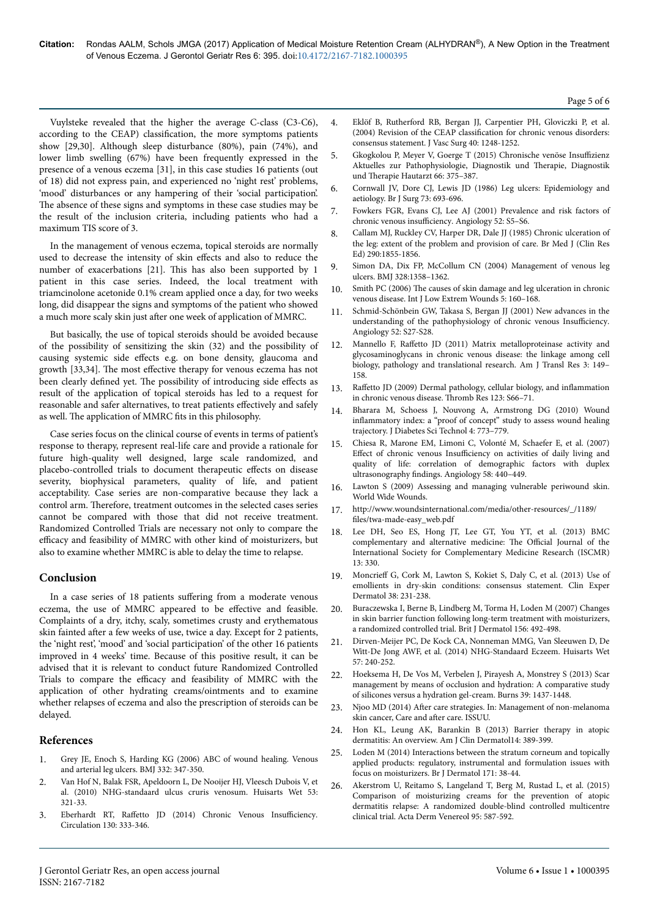Vuylsteke revealed that the higher the average C-class (C3-C6), according to the CEAP) classification, the more symptoms patients show [29,30]. Although sleep disturbance (80%), pain (74%), and lower limb swelling (67%) have been frequently expressed in the presence of a venous eczema [31], in this case studies 16 patients (out of 18) did not express pain, and experienced no 'night rest' problems, 'mood' disturbances or any hampering of their 'social participation'. The absence of these signs and symptoms in these case studies may be the result of the inclusion criteria, including patients who had a maximum TIS score of 3.

In the management of venous eczema, topical steroids are normally used to decrease the intensity of skin effects and also to reduce the number of exacerbations [21]. Нis has also been supported by 1 patient in this case series. Indeed, the local treatment with triamcinolone acetonide 0.1% cream applied once a day, for two weeks long, did disappear the signs and symptoms of the patient who showed a much more scaly skin just after one week of application of MMRC.

But basically, the use of topical steroids should be avoided because of the possibility of sensitizing the skin (32) and the possibility of causing systemic side effects e.g. on bone density, glaucoma and growth [33,34]. The most effective therapy for venous eczema has not been clearly defined yet. The possibility of introducing side effects as result of the application of topical steroids has led to a request for reasonable and safer alternatives, to treat patients effectively and safely as well. Нe application of MMRC fits in this philosophy.

Case series focus on the clinical course of events in terms of patient's response to therapy, represent real-life care and provide a rationale for future high-quality well designed, large scale randomized, and placebo-controlled trials to document therapeutic effects on disease severity, biophysical parameters, quality of life, and patient acceptability. Case series are non-comparative because they lack a control arm. Нerefore, treatment outcomes in the selected cases series cannot be compared with those that did not receive treatment. Randomized Controlled Trials are necessary not only to compare the efficacy and feasibility of MMRC with other kind of moisturizers, but also to examine whether MMRC is able to delay the time to relapse.

# **Conclusion**

In a case series of 18 patients suffering from a moderate venous eczema, the use of MMRC appeared to be effective and feasible. Complaints of a dry, itchy, scaly, sometimes crusty and erythematous skin fainted after a few weeks of use, twice a day. Except for 2 patients, the 'night rest', 'mood' and 'social participation' of the other 16 patients improved in 4 weeks' time. Because of this positive result, it can be advised that it is relevant to conduct future Randomized Controlled Trials to compare the efficacy and feasibility of MMRC with the application of other hydrating creams/ointments and to examine whether relapses of eczema and also the prescription of steroids can be delayed.

# **References**

- 1. [Grey JE, Enoch S, Harding KG \(2006\) ABC of wound healing. Venous](http://www.bmj.com/content/332/7537/347) [and arterial leg ulcers. BMJ 332: 347-350.](http://www.bmj.com/content/332/7537/347)
- 2. [Van Hof N, Balak FSR, Apeldoorn L, De Nooijer HJ, Vleesch Dubois V, et](https://www.nhg.org/standaarden/volledig/nhg-standaard-ulcus-cruris-venosum) [al. \(2010\) NHG-standaard ulcus cruris venosum. Huisarts Wet 53:](https://www.nhg.org/standaarden/volledig/nhg-standaard-ulcus-cruris-venosum) [321-33.](https://www.nhg.org/standaarden/volledig/nhg-standaard-ulcus-cruris-venosum)
- 3. Eberhardt RT, Raffetto [JD \(2014\) Chronic Venous](http://circ.ahajournals.org/content/130/4/333) Insufficiency. [Circulation 130: 333-346.](http://circ.ahajournals.org/content/130/4/333)
- 4. [Eklöf B, Rutherford RB, Bergan JJ, Carpentier PH, Gloviczki P, et al.](https://linkinghub.elsevier.com/retrieve/pii/S0741521404012777) (2004) Revision of the CEAP classification [for chronic venous disorders:](https://linkinghub.elsevier.com/retrieve/pii/S0741521404012777) [consensus statement. J Vasc Surg 40: 1248-1252.](https://linkinghub.elsevier.com/retrieve/pii/S0741521404012777)
- 5. [Gkogkolou P, Meyer V, Goerge T \(2015\) Chronische venöse](https://www.springermedizin.de/chronische-venoese-insuffizienz/8027896) Insuffizienz [Aktuelles zur Pathophysiologie, Diagnostik und](https://www.springermedizin.de/chronische-venoese-insuffizienz/8027896) Нerapie, Diagnostik und Нerapie [Hautarzt 66: 375–387.](https://www.springermedizin.de/chronische-venoese-insuffizienz/8027896)
- 6. [Cornwall JV, Dore CJ, Lewis JD \(1986\) Leg ulcers: Epidemiology and](http://onlinelibrary.wiley.com/resolve/openurl?genre=article&sid=nlm:pubmed&issn=0007-1323&date=1986&volume=73&issue=9&spage=693) [aetiology. Br J Surg 73: 693-696.](http://onlinelibrary.wiley.com/resolve/openurl?genre=article&sid=nlm:pubmed&issn=0007-1323&date=1986&volume=73&issue=9&spage=693)
- 7. [Fowkers FGR, Evans CJ, Lee AJ \(2001\) Prevalence and risk factors of](http://journals.sagepub.com/doi/abs/10.1177/0003319701052001S02) chronic venous insufficiency. Angiology 52: S5-S6.
- 8. Callam MJ, Ruckley CV, Harper DR, Dale JJ (1985) Chronic ulceration of the leg: extent of the problem and provision of care. Br Med J (Clin Res Ed) 290:1855-1856.
- 9. [Simon DA, Dix FP, McCollum CN \(2004\) Management of venous leg](http://www.bmj.com/content/328/7452/1358) [ulcers. BMJ 328:1358–1362.](http://www.bmj.com/content/328/7452/1358)
- 10. Smith PC (2006) The [causes of skin damage and leg ulceration in chronic](http://journals.sagepub.com/doi/abs/10.1177/1534734606292429?url_ver=Z39.88-2003&rfr_id=ori:rid:crossref.org&rfr_dat=cr_pub%3dpubmed) [venous disease. Int J Low Extrem Wounds 5: 160–168.](http://journals.sagepub.com/doi/abs/10.1177/1534734606292429?url_ver=Z39.88-2003&rfr_id=ori:rid:crossref.org&rfr_dat=cr_pub%3dpubmed)
- 11. [Schmid-Schönbein GW, Takasa S, Bergan JJ \(2001\) New advances in the](http://journals.sagepub.com/doi/abs/10.1177/0003319701052001S04) [understanding of the pathophysiology of chronic venous](http://journals.sagepub.com/doi/abs/10.1177/0003319701052001S04) Insufficiency. [Angiology 52: S27-S28.](http://journals.sagepub.com/doi/abs/10.1177/0003319701052001S04)
- Mannello F, Raffetto [JD \(2011\) Matrix metalloproteinase activity and](http://www.pubpdf.com/pub/21416057/index.html) [glycosaminoglycans in chronic venous disease: the linkage among cell](http://www.pubpdf.com/pub/21416057/index.html) [biology, pathology and translational research. Am J Transl Res 3: 149–](http://www.pubpdf.com/pub/21416057/index.html) [158.](http://www.pubpdf.com/pub/21416057/index.html)
- 13. Raffetto [JD \(2009\) Dermal pathology, cellular biology, and](https://linkinghub.elsevier.com/retrieve/pii/S0049-3848(09)70147-1) inflammation [in chronic venous disease.](https://linkinghub.elsevier.com/retrieve/pii/S0049-3848(09)70147-1) Нromb Res 123: S66–71.
- 14. [Bharara M, Schoess J, Nouvong A, Armstrong DG \(2010\) Wound](http://journals.sagepub.com/doi/abs/10.1177/193229681000400402) inflammatory [index: a "proof of concept" study to assess wound healing](http://journals.sagepub.com/doi/abs/10.1177/193229681000400402) [trajectory. J Diabetes Sci Technol 4: 773–779.](http://journals.sagepub.com/doi/abs/10.1177/193229681000400402)
- 15. [Chiesa R, Marone EM, Limoni C, Volonté M, Schaefer E, et al. \(2007\)](http://journals.sagepub.com/doi/abs/10.1177/0003319706292012?url_ver=Z39.88-2003&rfr_id=ori:rid:crossref.org&rfr_dat=cr_pub%3dpubmed) Effect of chronic venous Insufficiency [on activities of daily living and](http://journals.sagepub.com/doi/abs/10.1177/0003319706292012?url_ver=Z39.88-2003&rfr_id=ori:rid:crossref.org&rfr_dat=cr_pub%3dpubmed) [quality of life: correlation of demographic factors with duplex](http://journals.sagepub.com/doi/abs/10.1177/0003319706292012?url_ver=Z39.88-2003&rfr_id=ori:rid:crossref.org&rfr_dat=cr_pub%3dpubmed) ultrasonography findings. [Angiology 58: 440–449.](http://journals.sagepub.com/doi/abs/10.1177/0003319706292012?url_ver=Z39.88-2003&rfr_id=ori:rid:crossref.org&rfr_dat=cr_pub%3dpubmed)
- 16. [Lawton S \(2009\) Assessing and managing vulnerable periwound skin.](http://www.worldwidewounds.com/2009/October/Lawton-Langoen/vulnerable-skin-2.html) [World Wide Wounds.](http://www.worldwidewounds.com/2009/October/Lawton-Langoen/vulnerable-skin-2.html)
- 17. http://www.woundsinternational.com/media/other-resources/\_/1189/ files/twa-made-easy web.pdf
- 18. [Lee DH, Seo ES, Hong JT, Lee GT, You YT, et al. \(2013\) BMC](https://bmccomplementalternmed.biomedcentral.com/) [complementary and alternative medicine:](https://bmccomplementalternmed.biomedcentral.com/) The Official Journal of the [International Society for Complementary Medicine Research \(ISCMR\)](https://bmccomplementalternmed.biomedcentral.com/) [13: 330.](https://bmccomplementalternmed.biomedcentral.com/)
- 19. Moncrieff [G, Cork M, Lawton S, Kokiet S, Daly C, et al. \(2013\) Use of](http://dx.doi.org/10.1111/ced.12104) [emollients in dry-skin conditions: consensus statement. Clin Exper](http://dx.doi.org/10.1111/ced.12104) [Dermatol 38: 231-238.](http://dx.doi.org/10.1111/ced.12104)
- 20. [Buraczewska I, Berne B, Lindberg M, Torma H, Loden M \(2007\) Changes](http://dx.doi.org/10.1111/j.1365-2133.2006.07685.x) [in skin barrier function following long-term treatment with moisturizers,](http://dx.doi.org/10.1111/j.1365-2133.2006.07685.x) [a randomized controlled trial. Brit J Dermatol 156: 492-498.](http://dx.doi.org/10.1111/j.1365-2133.2006.07685.x)
- 21. [Dirven-Meijer PC, De Kock CA, Nonneman MMG, Van Sleeuwen D, De](https://www.huidhuis.nl/sites/default/files/pictures/m37_NHG%20Standaard%20Eczeem.pdf) [Witt-De Jong AWF, et al. \(2014\) NHG-Standaard Eczeem. Huisarts Wet](https://www.huidhuis.nl/sites/default/files/pictures/m37_NHG%20Standaard%20Eczeem.pdf) [57: 240-252.](https://www.huidhuis.nl/sites/default/files/pictures/m37_NHG%20Standaard%20Eczeem.pdf)
- 22. [Hoeksema H, De Vos M, Verbelen J, Pirayesh A, Monstrey S \(2013\) Scar](https://linkinghub.elsevier.com/retrieve/pii/S0305-4179(13)00105-8) [management by means of occlusion and hydration: A comparative study](https://linkinghub.elsevier.com/retrieve/pii/S0305-4179(13)00105-8) [of silicones versus a hydration gel-cream. Burns 39: 1437-1448.](https://linkinghub.elsevier.com/retrieve/pii/S0305-4179(13)00105-8)
- 23. Njoo MD (2014) After [care strategies. In: Management of non-melanoma](https://issuu.com/elha4/docs/monsc_preview) [skin cancer, Care and](https://issuu.com/elha4/docs/monsc_preview) after care. ISSUU.
- 24. [Hon KL, Leung AK, Barankin B \(2013\) Barrier therapy in atopic](https://dx.doi.org/10.1007/s40257-013-0033-9) [dermatitis: An overview. Am J Clin Dermatol14: 389-399.](https://dx.doi.org/10.1007/s40257-013-0033-9)
- 25. [Loden M \(2014\) Interactions between the stratum corneum and topically](http://dx.doi.org/10.1111/bjd.13240) [applied products: regulatory, instrumental and formulation issues with](http://dx.doi.org/10.1111/bjd.13240) [focus on moisturizers. Br J Dermatol 171: 38-44.](http://dx.doi.org/10.1111/bjd.13240)
- 26. [Akerstrom U, Reitamo S, Langeland T, Berg M, Rustad L, et al. \(2015\)](https://www.medicaljournals.se/acta/content/abstract/10.2340/00015555-2051) [Comparison of moisturizing creams for the prevention of atopic](https://www.medicaljournals.se/acta/content/abstract/10.2340/00015555-2051) [dermatitis relapse: A randomized double-blind controlled multicentre](https://www.medicaljournals.se/acta/content/abstract/10.2340/00015555-2051) [clinical trial. Acta Derm Venereol 95: 587-592.](https://www.medicaljournals.se/acta/content/abstract/10.2340/00015555-2051)